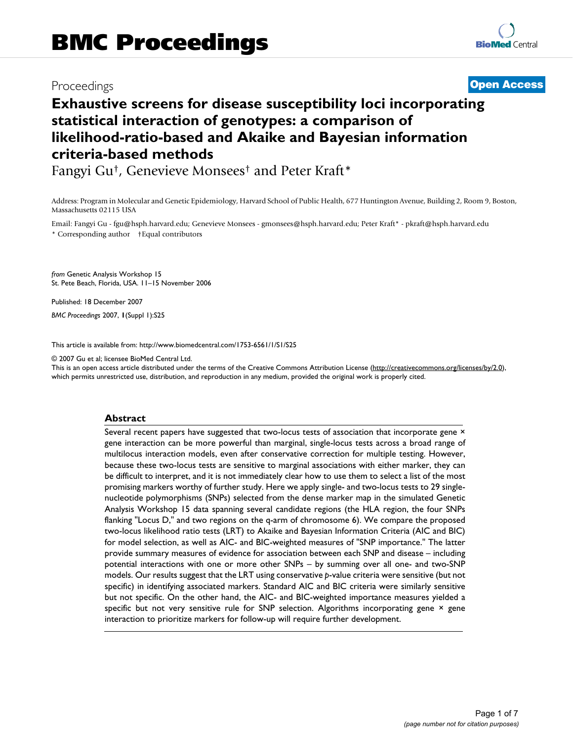## Proceedings **[Open Access](http://www.biomedcentral.com/info/about/charter/)**

# **Exhaustive screens for disease susceptibility loci incorporating statistical interaction of genotypes: a comparison of likelihood-ratio-based and Akaike and Bayesian information criteria-based methods**

Fangyi Gu†, Genevieve Monsees† and Peter Kraft\*

Address: Program in Molecular and Genetic Epidemiology, Harvard School of Public Health, 677 Huntington Avenue, Building 2, Room 9, Boston, Massachusetts 02115 USA

Email: Fangyi Gu - fgu@hsph.harvard.edu; Genevieve Monsees - gmonsees@hsph.harvard.edu; Peter Kraft\* - pkraft@hsph.harvard.edu \* Corresponding author †Equal contributors

*from* Genetic Analysis Workshop 15 St. Pete Beach, Florida, USA. 11–15 November 2006

Published: 18 December 2007

*BMC Proceedings* 2007, **1**(Suppl 1):S25

[This article is available from: http://www.biomedcentral.com/1753-6561/1/S1/S25](http://www.biomedcentral.com/1753-6561/1/S1/S25)

© 2007 Gu et al; licensee BioMed Central Ltd.

This is an open access article distributed under the terms of the Creative Commons Attribution License [\(http://creativecommons.org/licenses/by/2.0\)](http://creativecommons.org/licenses/by/2.0), which permits unrestricted use, distribution, and reproduction in any medium, provided the original work is properly cited.

#### **Abstract**

Several recent papers have suggested that two-locus tests of association that incorporate gene × gene interaction can be more powerful than marginal, single-locus tests across a broad range of multilocus interaction models, even after conservative correction for multiple testing. However, because these two-locus tests are sensitive to marginal associations with either marker, they can be difficult to interpret, and it is not immediately clear how to use them to select a list of the most promising markers worthy of further study. Here we apply single- and two-locus tests to 29 singlenucleotide polymorphisms (SNPs) selected from the dense marker map in the simulated Genetic Analysis Workshop 15 data spanning several candidate regions (the HLA region, the four SNPs flanking "Locus D," and two regions on the q-arm of chromosome 6). We compare the proposed two-locus likelihood ratio tests (LRT) to Akaike and Bayesian Information Criteria (AIC and BIC) for model selection, as well as AIC- and BIC-weighted measures of "SNP importance." The latter provide summary measures of evidence for association between each SNP and disease – including potential interactions with one or more other SNPs – by summing over all one- and two-SNP models. Our results suggest that the LRT using conservative *p*-value criteria were sensitive (but not specific) in identifying associated markers. Standard AIC and BIC criteria were similarly sensitive but not specific. On the other hand, the AIC- and BIC-weighted importance measures yielded a specific but not very sensitive rule for SNP selection. Algorithms incorporating gene × gene interaction to prioritize markers for follow-up will require further development.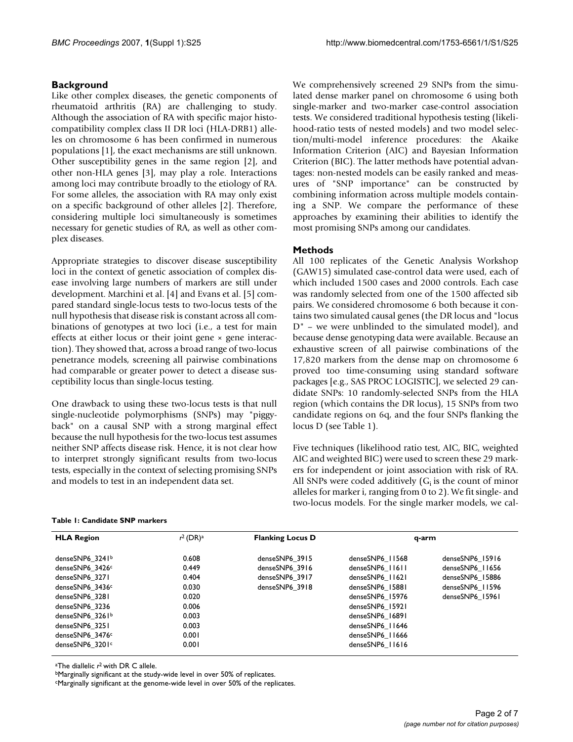### **Background**

Like other complex diseases, the genetic components of rheumatoid arthritis (RA) are challenging to study. Although the association of RA with specific major histocompatibility complex class II DR loci (HLA-DRB1) alleles on chromosome 6 has been confirmed in numerous populations [1], the exact mechanisms are still unknown. Other susceptibility genes in the same region [2], and other non-HLA genes [3], may play a role. Interactions among loci may contribute broadly to the etiology of RA. For some alleles, the association with RA may only exist on a specific background of other alleles [2]. Therefore, considering multiple loci simultaneously is sometimes necessary for genetic studies of RA, as well as other complex diseases.

Appropriate strategies to discover disease susceptibility loci in the context of genetic association of complex disease involving large numbers of markers are still under development. Marchini et al. [4] and Evans et al. [5] compared standard single-locus tests to two-locus tests of the null hypothesis that disease risk is constant across all combinations of genotypes at two loci (i.e., a test for main effects at either locus or their joint gene  $\times$  gene interaction). They showed that, across a broad range of two-locus penetrance models, screening all pairwise combinations had comparable or greater power to detect a disease susceptibility locus than single-locus testing.

One drawback to using these two-locus tests is that null single-nucleotide polymorphisms (SNPs) may "piggyback" on a causal SNP with a strong marginal effect because the null hypothesis for the two-locus test assumes neither SNP affects disease risk. Hence, it is not clear how to interpret strongly significant results from two-locus tests, especially in the context of selecting promising SNPs and models to test in an independent data set.

We comprehensively screened 29 SNPs from the simulated dense marker panel on chromosome 6 using both single-marker and two-marker case-control association tests. We considered traditional hypothesis testing (likelihood-ratio tests of nested models) and two model selection/multi-model inference procedures: the Akaike Information Criterion (AIC) and Bayesian Information Criterion (BIC). The latter methods have potential advantages: non-nested models can be easily ranked and measures of "SNP importance" can be constructed by combining information across multiple models containing a SNP. We compare the performance of these approaches by examining their abilities to identify the most promising SNPs among our candidates.

### **Methods**

All 100 replicates of the Genetic Analysis Workshop (GAW15) simulated case-control data were used, each of which included 1500 cases and 2000 controls. Each case was randomly selected from one of the 1500 affected sib pairs. We considered chromosome 6 both because it contains two simulated causal genes (the DR locus and "locus D" – we were unblinded to the simulated model), and because dense genotyping data were available. Because an exhaustive screen of all pairwise combinations of the 17,820 markers from the dense map on chromosome 6 proved too time-consuming using standard software packages [e.g., SAS PROC LOGISTIC], we selected 29 candidate SNPs: 10 randomly-selected SNPs from the HLA region (which contains the DR locus), 15 SNPs from two candidate regions on 6q, and the four SNPs flanking the locus D (see Table 1).

Five techniques (likelihood ratio test, AIC, BIC, weighted AIC and weighted BIC) were used to screen these 29 markers for independent or joint association with risk of RA. All SNPs were coded additively  $(G_i)$  is the count of minor alleles for marker i, ranging from 0 to 2). We fit single- and two-locus models. For the single marker models, we cal-

#### **Table 1: Candidate SNP markers**

| <b>HLA Region</b> | $r^2$ (DR) <sup>a</sup> | <b>Flanking Locus D</b> | q-arm           |                 |
|-------------------|-------------------------|-------------------------|-----------------|-----------------|
| denseSNP6 $3241b$ | 0.608                   | denseSNP6 3915          | denseSNP6 11568 | denseSNP6 15916 |
| denseSNP6_3426c   | 0.449                   | denseSNP6 3916          | denseSNP6 11611 | denseSNP6 11656 |
| denseSNP6 3271    | 0.404                   | denseSNP6 3917          | denseSNP6 11621 | denseSNP6 15886 |
| denseSNP6 3436c   | 0.030                   | denseSNP6 3918          | denseSNP6 15881 | denseSNP6 11596 |
| denseSNP6 3281    | 0.020                   |                         | denseSNP6 15976 | denseSNP6 15961 |
| denseSNP6 3236    | 0.006                   |                         | denseSNP6 15921 |                 |
| denseSNP6 3261b   | 0.003                   |                         | denseSNP6 16891 |                 |
| denseSNP6 3251    | 0.003                   |                         | denseSNP6 11646 |                 |
| denseSNP6 3476c   | 0.001                   |                         | denseSNP6 11666 |                 |
| denseSNP6 3201c   | 0.001                   |                         | denseSNP6 11616 |                 |

aThe diallelic *r*2 with DR C allele.

bMarginally significant at the study-wide level in over 50% of replicates.

cMarginally significant at the genome-wide level in over 50% of the replicates.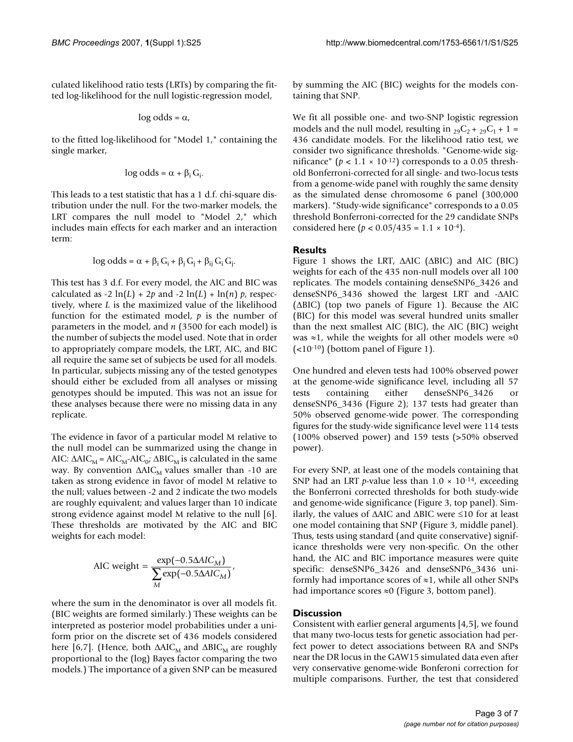culated likelihood ratio tests (LRTs) by comparing the fitted log-likelihood for the null logistic-regression model,

$$
log odds = \alpha,
$$

to the fitted log-likelihood for "Model 1," containing the single marker,

$$
log odds = \alpha + \beta_i G_i
$$

.

This leads to a test statistic that has a 1 d.f. chi-square distribution under the null. For the two-marker models, the LRT compares the null model to "Model 2," which includes main effects for each marker and an interaction term:

$$
log odds = \alpha + \beta_i G_i + \beta_j G_j + \beta_{ij} G_i G_j.
$$

This test has 3 d.f. For every model, the AIC and BIC was calculated as -2  $ln(L)$  + 2p and -2  $ln(L)$  +  $ln(n)$  p, respectively, where *L* is the maximized value of the likelihood function for the estimated model, *p* is the number of parameters in the model, and *n* (3500 for each model) is the number of subjects the model used. Note that in order to appropriately compare models, the LRT, AIC, and BIC all require the same set of subjects be used for all models. In particular, subjects missing any of the tested genotypes should either be excluded from all analyses or missing genotypes should be imputed. This was not an issue for these analyses because there were no missing data in any replicate.

The evidence in favor of a particular model M relative to the null model can be summarized using the change in AIC:  $\triangle AIC_M = AIC_M - AIC_0$ ;  $\triangle BIC_M$  is calculated in the same way. By convention  $ΔAIC_M$  values smaller than -10 are taken as strong evidence in favor of model M relative to the null; values between -2 and 2 indicate the two models are roughly equivalent; and values larger than 10 indicate strong evidence against model M relative to the null [6]. These thresholds are motivated by the AIC and BIC weights for each model:

AIC weight = 
$$
\frac{\exp(-0.5\Delta AIC_M)}{\sum_{M} \exp(-0.5\Delta AIC_M)}
$$
,

where the sum in the denominator is over all models fit. (BIC weights are formed similarly.) These weights can be interpreted as posterior model probabilities under a uniform prior on the discrete set of 436 models considered here [6,7]. (Hence, both  $ΔAIC<sub>M</sub>$  and  $ΔBIC<sub>M</sub>$  are roughly proportional to the (log) Bayes factor comparing the two models.) The importance of a given SNP can be measured

by summing the AIC (BIC) weights for the models containing that SNP.

We fit all possible one- and two-SNP logistic regression models and the null model, resulting in  ${}_{29}C_2 + {}_{29}C_1 + 1 =$ 436 candidate models. For the likelihood ratio test, we consider two significance thresholds. "Genome-wide significance" ( $p < 1.1 \times 10^{-12}$ ) corresponds to a 0.05 threshold Bonferroni-corrected for all single- and two-locus tests from a genome-wide panel with roughly the same density as the simulated dense chromosome 6 panel (300,000 markers). "Study-wide significance" corresponds to a 0.05 threshold Bonferroni-corrected for the 29 candidate SNPs considered here  $(p < 0.05/435 = 1.1 \times 10^{-4})$ .

#### **Results**

Figure 1 shows the LRT, ΔAIC (ΔBIC) and AIC (BIC) weights for each of the 435 non-null models over all 100 replicates. The models containing denseSNP6\_3426 and denseSNP6\_3436 showed the largest LRT and -ΔAIC (ΔBIC) (top two panels of Figure 1). Because the AIC (BIC) for this model was several hundred units smaller than the next smallest AIC (BIC), the AIC (BIC) weight was  $\approx$ 1, while the weights for all other models were  $\approx$ 0  $\left($  <10<sup>-10</sup>) (bottom panel of Figure 1).

One hundred and eleven tests had 100% observed power at the genome-wide significance level, including all 57 tests containing either denseSNP6\_3426 or denseSNP6\_3436 (Figure 2); 137 tests had greater than 50% observed genome-wide power. The corresponding figures for the study-wide significance level were 114 tests (100% observed power) and 159 tests (>50% observed power).

For every SNP, at least one of the models containing that SNP had an LRT *p*-value less than  $1.0 \times 10^{-14}$ , exceeding the Bonferroni corrected thresholds for both study-wide and genome-wide significance (Figure 3, top panel). Similarly, the values of ΔAIC and ΔBIC were ≤10 for at least one model containing that SNP (Figure 3, middle panel). Thus, tests using standard (and quite conservative) significance thresholds were very non-specific. On the other hand, the AIC and BIC importance measures were quite specific: denseSNP6\_3426 and denseSNP6\_3436 uniformly had importance scores of  $\approx$ 1, while all other SNPs had importance scores  $\approx 0$  (Figure 3, bottom panel).

#### **Discussion**

Consistent with earlier general arguments [4,5], we found that many two-locus tests for genetic association had perfect power to detect associations between RA and SNPs near the DR locus in the GAW15 simulated data even after very conservative genome-wide Bonferoni correction for multiple comparisons. Further, the test that considered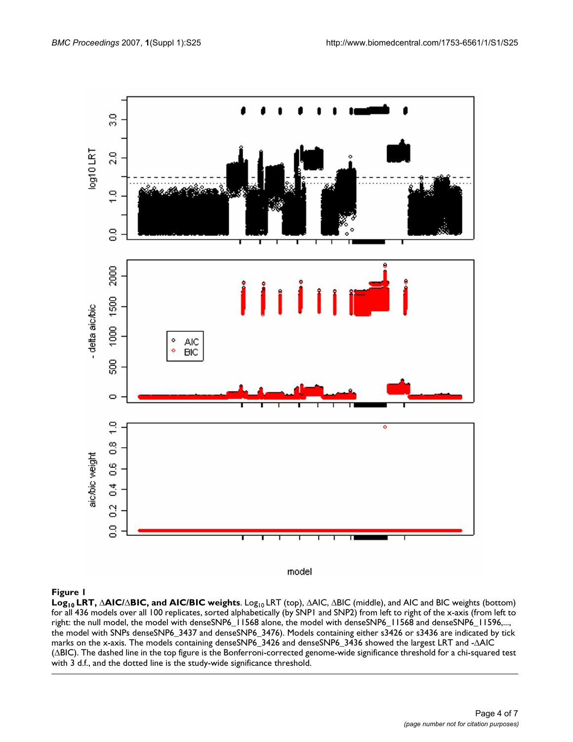

model

#### **Figure 1**

**Log10 LRT,** Δ**AIC/**Δ**BIC, and AIC/BIC weights**. Log10 LRT (top), ΔAIC, ΔBIC (middle), and AIC and BIC weights (bottom) for all 436 models over all 100 replicates, sorted alphabetically (by SNP1 and SNP2) from left to right of the x-axis (from left to right: the null model, the model with denseSNP6\_11568 alone, the model with denseSNP6\_11568 and denseSNP6\_11596,..., the model with SNPs denseSNP6\_3437 and denseSNP6\_3476). Models containing either s3426 or s3436 are indicated by tick marks on the x-axis. The models containing denseSNP6\_3426 and denseSNP6\_3436 showed the largest LRT and -ΔAIC (ΔBIC). The dashed line in the top figure is the Bonferroni-corrected genome-wide significance threshold for a chi-squared test with 3 d.f., and the dotted line is the study-wide significance threshold.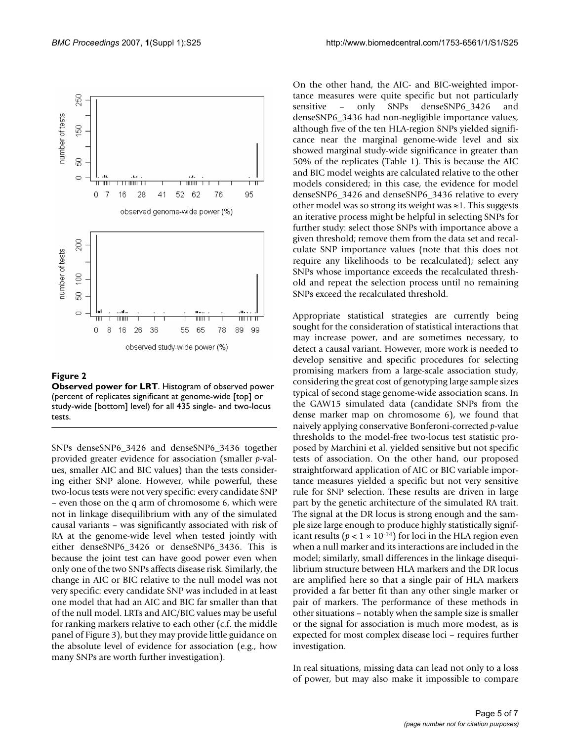

**Figure 2 Observed power for LRT**. Histogram of observed power (percent of replicates significant at genome-wide [top] or study-wide [bottom] level) for all 435 single- and two-locus tests.

SNPs denseSNP6\_3426 and denseSNP6\_3436 together provided greater evidence for association (smaller *p*-values, smaller AIC and BIC values) than the tests considering either SNP alone. However, while powerful, these two-locus tests were not very specific: every candidate SNP – even those on the q arm of chromosome 6, which were not in linkage disequilibrium with any of the simulated causal variants – was significantly associated with risk of RA at the genome-wide level when tested jointly with either denseSNP6\_3426 or denseSNP6\_3436. This is because the joint test can have good power even when only one of the two SNPs affects disease risk. Similarly, the change in AIC or BIC relative to the null model was not very specific: every candidate SNP was included in at least one model that had an AIC and BIC far smaller than that of the null model. LRTs and AIC/BIC values may be useful for ranking markers relative to each other (c.f. the middle panel of Figure 3), but they may provide little guidance on the absolute level of evidence for association (e.g., how many SNPs are worth further investigation).

On the other hand, the AIC- and BIC-weighted importance measures were quite specific but not particularly sensitive – only SNPs denseSNP6\_3426 and denseSNP6\_3436 had non-negligible importance values, although five of the ten HLA-region SNPs yielded significance near the marginal genome-wide level and six showed marginal study-wide significance in greater than 50% of the replicates (Table 1). This is because the AIC and BIC model weights are calculated relative to the other models considered; in this case, the evidence for model denseSNP6\_3426 and denseSNP6\_3436 relative to every other model was so strong its weight was ≈1. This suggests an iterative process might be helpful in selecting SNPs for further study: select those SNPs with importance above a given threshold; remove them from the data set and recalculate SNP importance values (note that this does not require any likelihoods to be recalculated); select any SNPs whose importance exceeds the recalculated threshold and repeat the selection process until no remaining SNPs exceed the recalculated threshold.

Appropriate statistical strategies are currently being sought for the consideration of statistical interactions that may increase power, and are sometimes necessary, to detect a causal variant. However, more work is needed to develop sensitive and specific procedures for selecting promising markers from a large-scale association study, considering the great cost of genotyping large sample sizes typical of second stage genome-wide association scans. In the GAW15 simulated data (candidate SNPs from the dense marker map on chromosome 6), we found that naively applying conservative Bonferoni-corrected *p*-value thresholds to the model-free two-locus test statistic proposed by Marchini et al. yielded sensitive but not specific tests of association. On the other hand, our proposed straightforward application of AIC or BIC variable importance measures yielded a specific but not very sensitive rule for SNP selection. These results are driven in large part by the genetic architecture of the simulated RA trait. The signal at the DR locus is strong enough and the sample size large enough to produce highly statistically significant results ( $p < 1 \times 10^{-14}$ ) for loci in the HLA region even when a null marker and its interactions are included in the model; similarly, small differences in the linkage disequilibrium structure between HLA markers and the DR locus are amplified here so that a single pair of HLA markers provided a far better fit than any other single marker or pair of markers. The performance of these methods in other situations – notably when the sample size is smaller or the signal for association is much more modest, as is expected for most complex disease loci – requires further investigation.

In real situations, missing data can lead not only to a loss of power, but may also make it impossible to compare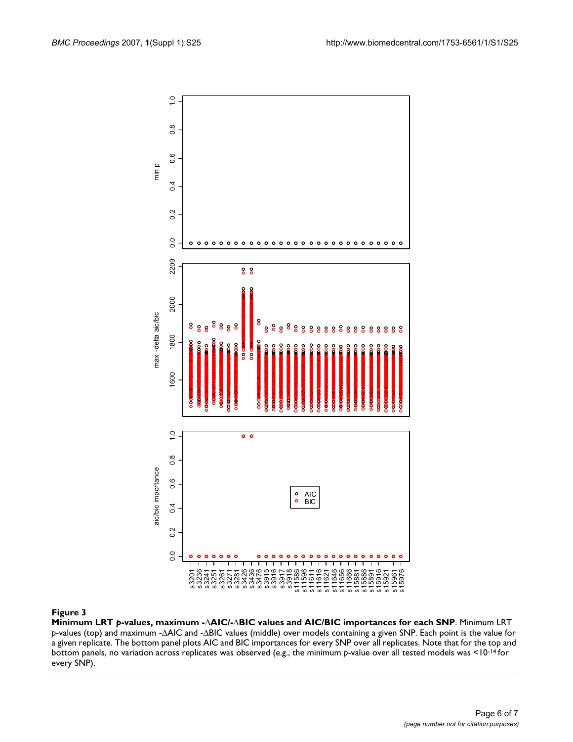

**Minimum LRT** *p***-values, maximum -**Δ**AIC/-**Δ**BIC values and AIC/BIC importances for each SNP**. Minimum LRT *p*-values (top) and maximum -ΔAIC and -ΔBIC values (middle) over models containing a given SNP. Each point is the value for a given replicate. The bottom panel plots AIC and BIC importances for every SNP over all replicates. Note that for the top and bottom panels, no variation across replicates was observed (e.g., the minimum *p*-value over all tested models was <10-14 for every SNP).